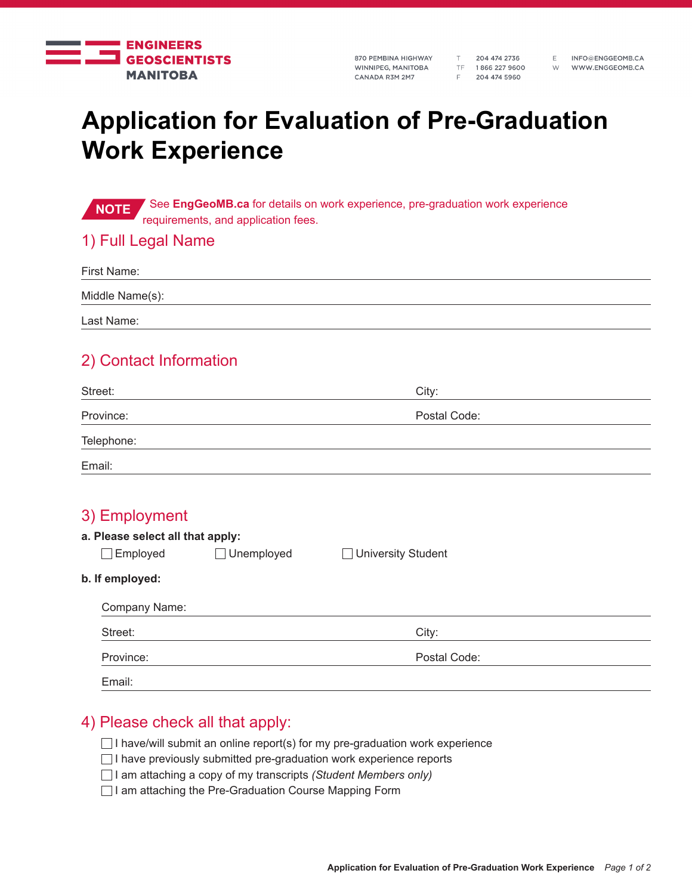

870 PEMBINA HIGHWAY WINNIPEG, MANITOBA CANADA R3M 2M7

T 204 474 2736 TF 1866 227 9600 F 204 474 5960

E INFO@ENGGEOMB.CA W WWW.ENGGEOMB.CA

# **Application for Evaluation of Pre-Graduation Work Experience**

**NOTE** See EngGeoMB.ca for details on work experience, pre-graduation work experience requirements, and application fees.

#### 1) Full Legal Name

| First Name:     |  |  |  |
|-----------------|--|--|--|
| Middle Name(s): |  |  |  |
| Last Name:      |  |  |  |

### 2) Contact Information

| Street:    | City:        |  |
|------------|--------------|--|
| Province:  | Postal Code: |  |
| Telephone: |              |  |
| Email:     |              |  |

| 3) Employment<br>a. Please select all that apply:<br>Employed | $\Box$ Unemployed | <b>University Student</b> |  |
|---------------------------------------------------------------|-------------------|---------------------------|--|
| b. If employed:                                               |                   |                           |  |
| Company Name:                                                 |                   |                           |  |
| Street:                                                       |                   | City:                     |  |
| Province:                                                     |                   | Postal Code:              |  |
| Email:                                                        |                   |                           |  |

#### 4) Please check all that apply:

- $\Box$  I have/will submit an online report(s) for my pre-graduation work experience
- $\Box$  I have previously submitted pre-graduation work experience reports
- I am attaching a copy of my transcripts *(Student Members only)*
- □ I am attaching the Pre-Graduation Course Mapping Form